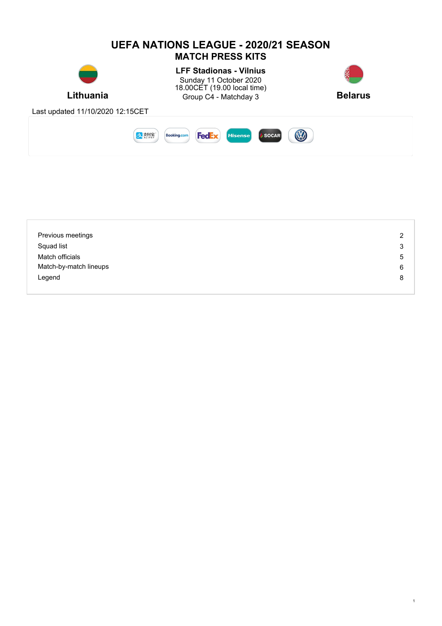

| Previous meetings      | 2 |
|------------------------|---|
| Squad list             | 3 |
| Match officials        | 5 |
| Match-by-match lineups | 6 |
| Legend                 | 8 |
|                        |   |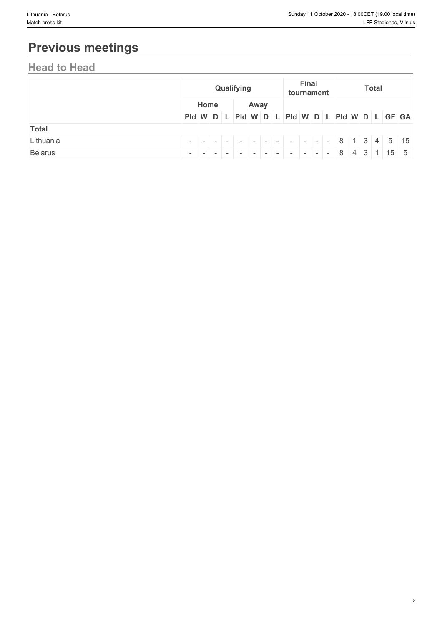# **Previous meetings**

## **Head to Head**

|                |  | Qualifying |  |  |      |  |  | <b>Final</b><br>tournament |  |  | <b>Total</b> |  |  |                                               |  |  |  |  |  |
|----------------|--|------------|--|--|------|--|--|----------------------------|--|--|--------------|--|--|-----------------------------------------------|--|--|--|--|--|
|                |  | Home       |  |  | Away |  |  |                            |  |  |              |  |  |                                               |  |  |  |  |  |
|                |  |            |  |  |      |  |  |                            |  |  |              |  |  | Pid W D L Pid W D L Pid W D L Pid W D L GF GA |  |  |  |  |  |
| <b>Total</b>   |  |            |  |  |      |  |  |                            |  |  |              |  |  |                                               |  |  |  |  |  |
| Lithuania      |  |            |  |  |      |  |  |                            |  |  |              |  |  |                                               |  |  |  |  |  |
| <b>Belarus</b> |  |            |  |  |      |  |  |                            |  |  |              |  |  |                                               |  |  |  |  |  |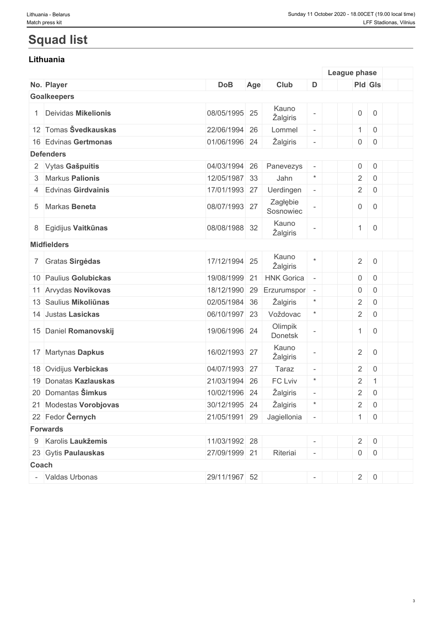## **Squad list**

### **Lithuania**

|       |                        |               |     |                           |                          | League phase        |                     |  |
|-------|------------------------|---------------|-----|---------------------------|--------------------------|---------------------|---------------------|--|
|       | No. Player             | <b>DoB</b>    | Age | Club                      | D                        | Pld Gls             |                     |  |
|       | <b>Goalkeepers</b>     |               |     |                           |                          |                     |                     |  |
|       | 1 Deividas Mikelionis  | 08/05/1995 25 |     | Kauno<br>Žalgiris         |                          | $\mathsf{O}\xspace$ | $\mathbf 0$         |  |
|       | 12 Tomas Švedkauskas   | 22/06/1994 26 |     | Lommel                    | $\equiv$                 | $\mathbf{1}$        | $\mathbf 0$         |  |
|       | 16 Edvinas Gertmonas   | 01/06/1996 24 |     | Žalgiris                  |                          | $\mathsf{O}$        | $\mathsf{O}\xspace$ |  |
|       | <b>Defenders</b>       |               |     |                           |                          |                     |                     |  |
|       | 2 Vytas Gašpuitis      | 04/03/1994 26 |     | Panevezys                 |                          | $\mathsf{O}\xspace$ | $\mathbf 0$         |  |
|       | 3 Markus Palionis      | 12/05/1987 33 |     | Jahn                      | $\ast$                   | $\overline{2}$      | $\overline{0}$      |  |
|       | 4 Edvinas Girdvainis   | 17/01/1993 27 |     | Uerdingen                 | $\overline{\phantom{a}}$ | $\overline{2}$      | $\overline{0}$      |  |
|       | 5 Markas Beneta        | 08/07/1993 27 |     | Zagłębie<br>Sosnowiec     |                          | $\mathsf{O}\xspace$ | $\mathbf 0$         |  |
|       | 8 Egidijus Vaitkūnas   | 08/08/1988 32 |     | Kauno<br>Žalgiris         |                          | $\mathbf{1}$        | $\mathsf{O}\xspace$ |  |
|       | <b>Midfielders</b>     |               |     |                           |                          |                     |                     |  |
|       | 7 Gratas Sirgėdas      | 17/12/1994 25 |     | Kauno<br>Žalgiris         |                          | $\overline{2}$      | $\overline{0}$      |  |
|       | 10 Paulius Golubickas  | 19/08/1999    | 21  | <b>HNK Gorica</b>         |                          | $\boldsymbol{0}$    | $\mathbf 0$         |  |
|       | 11 Arvydas Novikovas   | 18/12/1990    | 29  | Erzurumspor               | $\overline{\phantom{a}}$ | 0                   | $\overline{0}$      |  |
|       | 13 Saulius Mikoliūnas  | 02/05/1984 36 |     | Žalgiris                  | $\ast$                   | $\overline{2}$      | $\mathbf 0$         |  |
|       | 14 Justas Lasickas     | 06/10/1997 23 |     | Voždovac                  | $\ast$                   | $\overline{2}$      | $\overline{0}$      |  |
|       | 15 Daniel Romanovskij  | 19/06/1996 24 |     | Olimpik<br>Donetsk        |                          | $\mathbf{1}$        | $\overline{0}$      |  |
|       | 17 Martynas Dapkus     | 16/02/1993 27 |     | Kauno<br>Žalgiris         |                          | $\overline{2}$      | $\overline{0}$      |  |
|       | 18 Ovidijus Verbickas  | 04/07/1993 27 |     | Taraz                     | $\overline{\phantom{a}}$ | $\overline{2}$      | $\overline{0}$      |  |
|       | 19 Donatas Kazlauskas  | 21/03/1994 26 |     | FC Lviv                   | $\star$                  | $\sqrt{2}$          | $\mathbf{1}$        |  |
|       | 20 Domantas Šimkus     | 10/02/1996 24 |     | Žalgiris                  |                          | $\overline{2}$      | $\mathsf{O}\xspace$ |  |
|       | 21 Modestas Vorobjovas | 30/12/1995 24 |     | Žalgiris                  |                          |                     | $2 \mid 0$          |  |
|       | 22 Fedor Černych       |               |     | 21/05/1991 29 Jagiellonia |                          |                     | $1 \ 0$             |  |
|       | <b>Forwards</b>        |               |     |                           |                          |                     |                     |  |
|       | 9 Karolis Laukžemis    | 11/03/1992 28 |     |                           |                          |                     | $2 \ 0$             |  |
|       | 23 Gytis Paulauskas    | 27/09/1999 21 |     | Riteriai                  |                          |                     | $0 \quad 0$         |  |
| Coach |                        |               |     |                           |                          |                     |                     |  |
|       | - Valdas Urbonas       | 29/11/1967 52 |     |                           |                          |                     | $2 \ 0$             |  |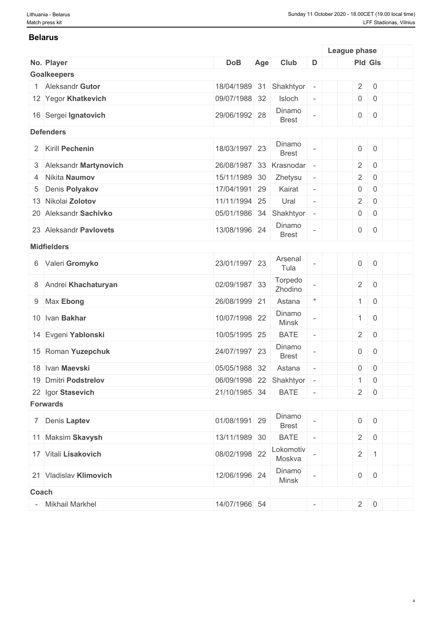#### **Belarus**

|       |                         |                         |     |                        |                          | League phase        |                     |  |
|-------|-------------------------|-------------------------|-----|------------------------|--------------------------|---------------------|---------------------|--|
|       | No. Player              | <b>DoB</b>              | Age | Club                   | D                        | Pld Gls             |                     |  |
|       | <b>Goalkeepers</b>      |                         |     |                        |                          |                     |                     |  |
|       | 1 Aleksandr Gutor       | 18/04/1989 31           |     | Shakhtyor              | $\overline{\phantom{a}}$ | $\overline{2}$      | $\mathsf 0$         |  |
|       | 12 Yegor Khatkevich     | 09/07/1988 32           |     | Isloch                 | $\overline{\phantom{a}}$ | $\mathsf{O}\xspace$ | $\mathsf{O}\xspace$ |  |
|       | 16 Sergei Ignatovich    | 29/06/1992 28           |     | Dinamo<br><b>Brest</b> |                          | $\mathsf{O}\xspace$ | $\overline{0}$      |  |
|       | <b>Defenders</b>        |                         |     |                        |                          |                     |                     |  |
|       | 2 Kirill Pechenin       | 18/03/1997 23           |     | Dinamo<br><b>Brest</b> |                          | $\mathsf{O}$        | $\boldsymbol{0}$    |  |
|       | 3 Aleksandr Martynovich | 26/08/1987              | 33  | Krasnodar              | $\overline{\phantom{a}}$ | $\overline{2}$      | $\boldsymbol{0}$    |  |
| 4     | Nikita Naumov           | 15/11/1989 30           |     | Zhetysu                | $\overline{\phantom{a}}$ | $\overline{2}$      | $\boldsymbol{0}$    |  |
| 5     | Denis Polyakov          | 17/04/1991 29           |     | Kairat                 | $\overline{\phantom{a}}$ | 0                   | $\boldsymbol{0}$    |  |
|       | 13 Nikolai Zolotov      | 11/11/1994 25           |     | Ural                   |                          | $\overline{2}$      | $\boldsymbol{0}$    |  |
|       | 20 Aleksandr Sachivko   | 05/01/1986 34           |     | Shakhtyor              | $\overline{\phantom{a}}$ | $\overline{0}$      | $\boldsymbol{0}$    |  |
|       | 23 Aleksandr Pavlovets  | 13/08/1996 24           |     | Dinamo<br><b>Brest</b> |                          | $\overline{0}$      | $\overline{0}$      |  |
|       | <b>Midfielders</b>      |                         |     |                        |                          |                     |                     |  |
|       | 6 Valeri Gromyko        | 23/01/1997 23           |     | Arsenal<br>Tula        |                          | $\mathsf{O}\xspace$ | $\mathsf{O}\xspace$ |  |
|       | 8 Andrei Khachaturyan   | 02/09/1987 33           |     | Torpedo<br>Zhodino     |                          | $\overline{2}$      | $\overline{0}$      |  |
|       | 9 Max Ebong             | 26/08/1999 21           |     | Astana                 | $\star$                  | 1                   | $\mathsf 0$         |  |
|       | 10 Ivan Bakhar          | 10/07/1998 22           |     | Dinamo<br><b>Minsk</b> |                          | $\mathbf{1}$        | $\overline{0}$      |  |
|       | 14 Evgeni Yablonski     | 10/05/1995 25           |     | <b>BATE</b>            | $\bar{ }$                | $\overline{2}$      | $\boldsymbol{0}$    |  |
|       | 15 Roman Yuzepchuk      | 24/07/1997 23           |     | Dinamo<br><b>Brest</b> |                          | $\overline{0}$      | $\mathbf 0$         |  |
|       | 18 Ivan Maevski         | 05/05/1988 32           |     | Astana                 | $\overline{\phantom{a}}$ | 0                   | $\boldsymbol{0}$    |  |
|       | 19 Dmitri Podstrelov    | 06/09/1998 22 Shakhtyor |     |                        |                          | 1                   | $\mathsf{O}\xspace$ |  |
|       | 22 Igor Stasevich       | 21/10/1985 34           |     | <b>BATE</b>            |                          | $2 \mid$            | $\overline{0}$      |  |
|       | <b>Forwards</b>         |                         |     |                        |                          |                     |                     |  |
|       | 7 Denis Laptev          | 01/08/1991 29           |     | Dinamo<br><b>Brest</b> |                          | $\overline{0}$      | $\mathsf{O}$        |  |
|       | 11 Maksim Skavysh       | 13/11/1989 30           |     | <b>BATE</b>            |                          | $\overline{2}$      | $\boldsymbol{0}$    |  |
|       | 17 Vitali Lisakovich    | 08/02/1998 22           |     | Lokomotiv<br>Moskva    |                          | $\overline{2}$      | $\mathbf{1}$        |  |
|       | 21 Vladislav Klimovich  | 12/06/1996 24           |     | Dinamo<br>Minsk        |                          | $\overline{0}$      | $\overline{0}$      |  |
| Coach |                         |                         |     |                        |                          |                     |                     |  |
|       | <b>Mikhail Markhel</b>  | 14/07/1966 54           |     |                        | $\overline{\phantom{a}}$ | $2 \ 0$             |                     |  |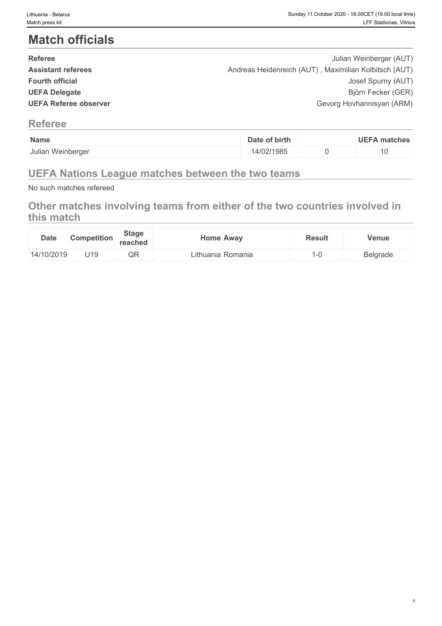## **Match officials**

| <b>Referee</b>            | Julian Weinberger (AUT)                               |  |
|---------------------------|-------------------------------------------------------|--|
| <b>Assistant referees</b> | Andreas Heidenreich (AUT), Maximilian Kolbitsch (AUT) |  |
| <b>Fourth official</b>    | Josef Spurny (AUT)                                    |  |
| <b>UEFA Delegate</b>      | Björn Fecker (GER)                                    |  |
| UEFA Referee observer     | Gevorg Hovhannisyan (ARM)                             |  |
|                           |                                                       |  |

### **Referee**

| Name              | of birth<br>Date | <b>UEFA matches</b> |
|-------------------|------------------|---------------------|
| Julian Weinberger | 14/02/1985       | ∣∪                  |

## **UEFA Nations League matches between the two teams**

No such matches refereed

## **Other matches involving teams from either of the two countries involved in this match**

| <b>Date</b> | Competition | <b>Stage</b><br>reached | Home Away |                   | <b>Result</b> | Venue                             |
|-------------|-------------|-------------------------|-----------|-------------------|---------------|-----------------------------------|
| 14/10/2019  | U19         | $\cap$<br>∵ا∢ب          |           | Lithuania Romania |               | <b>Belgrade</b><br>$\overline{ }$ |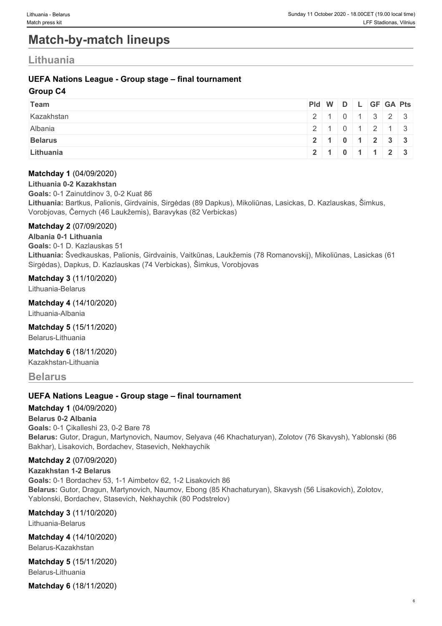## **Match-by-match lineups**

### **Lithuania**

#### **UEFA Nations League - Group stage – final tournament**

#### **Group C4**

| Team           | Pid W D L GF GA Pts |  |  |                           |
|----------------|---------------------|--|--|---------------------------|
| Kazakhstan     |                     |  |  | 2 1 0 1 3 2 3             |
| Albania        |                     |  |  | 2 1 0 1 2 1 3             |
| <b>Belarus</b> |                     |  |  | 2 1 0 1 2 3 3             |
| Lithuania      |                     |  |  | 2   1   0   1   1   2   3 |

#### **Matchday 1** (04/09/2020)

**Lithuania 0-2 Kazakhstan**

**Goals:** 0-1 Zainutdinov 3, 0-2 Kuat 86

**Lithuania:** Bartkus, Palionis, Girdvainis, Sirgėdas (89 Dapkus), Mikoliūnas, Lasickas, D. Kazlauskas, Šimkus, Vorobjovas, Černych (46 Laukžemis), Baravykas (82 Verbickas)

#### **Matchday 2** (07/09/2020)

**Albania 0-1 Lithuania Goals:** 0-1 D. Kazlauskas 51 **Lithuania:** Švedkauskas, Palionis, Girdvainis, Vaitkūnas, Laukžemis (78 Romanovskij), Mikoliūnas, Lasickas (61 Sirgėdas), Dapkus, D. Kazlauskas (74 Verbickas), Šimkus, Vorobjovas

#### **Matchday 3** (11/10/2020)

Lithuania-Belarus

**Matchday 4** (14/10/2020)

Lithuania-Albania

**Matchday 5** (15/11/2020)

Belarus-Lithuania

**Matchday 6** (18/11/2020)

Kazakhstan-Lithuania

#### **Belarus**

#### **UEFA Nations League - Group stage – final tournament**

#### **Matchday 1** (04/09/2020)

**Belarus 0-2 Albania Goals:** 0-1 Çikalleshi 23, 0-2 Bare 78 **Belarus:** Gutor, Dragun, Martynovich, Naumov, Selyava (46 Khachaturyan), Zolotov (76 Skavysh), Yablonski (86 Bakhar), Lisakovich, Bordachev, Stasevich, Nekhaychik

#### **Matchday 2** (07/09/2020)

**Kazakhstan 1-2 Belarus Goals:** 0-1 Bordachev 53, 1-1 Aimbetov 62, 1-2 Lisakovich 86 **Belarus:** Gutor, Dragun, Martynovich, Naumov, Ebong (85 Khachaturyan), Skavysh (56 Lisakovich), Zolotov, Yablonski, Bordachev, Stasevich, Nekhaychik (80 Podstrelov)

**Matchday 3** (11/10/2020) Lithuania-Belarus

**Matchday 4** (14/10/2020) Belarus-Kazakhstan

**Matchday 5** (15/11/2020) Belarus-Lithuania

**Matchday 6** (18/11/2020)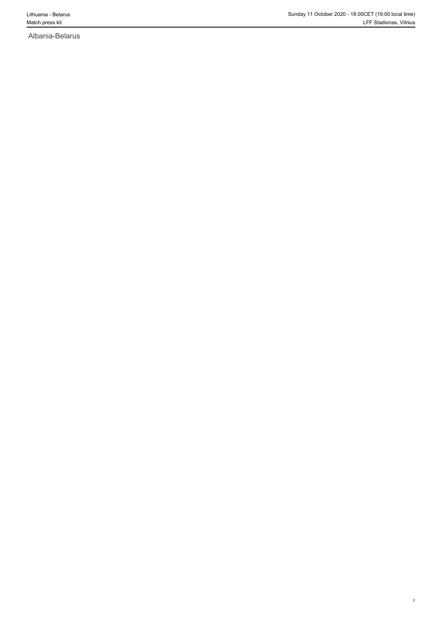Albania-Belarus

7